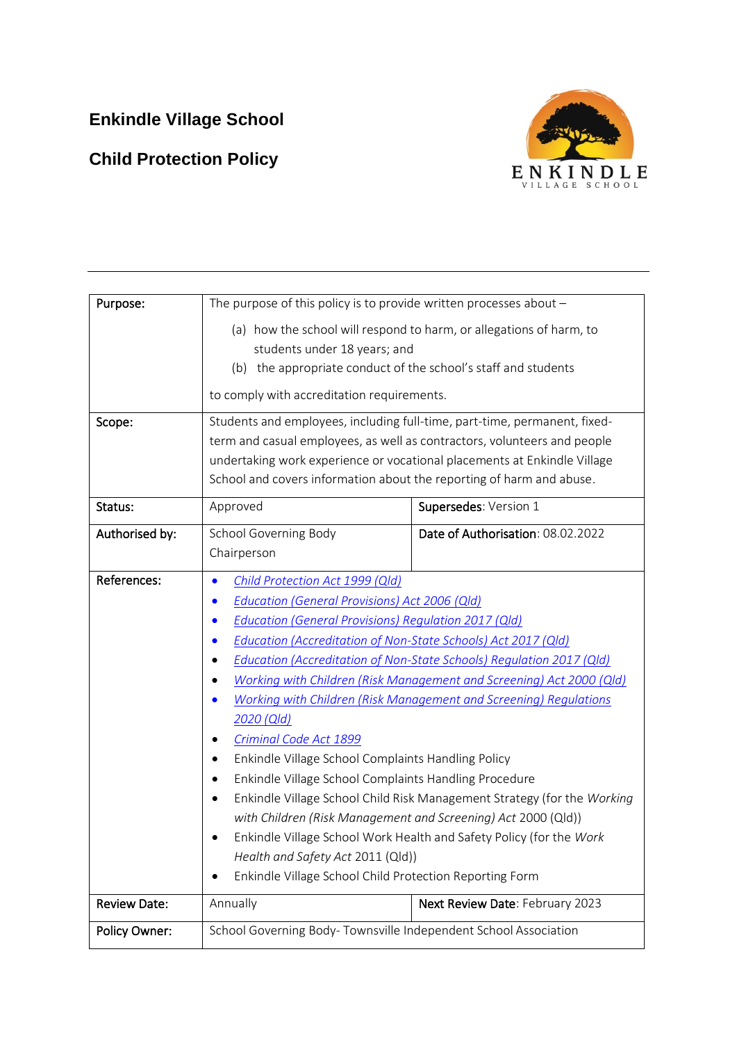# **Enkindle Village School**

# **Child Protection Policy**



| Purpose:            | The purpose of this policy is to provide written processes about -                                                                                                                                                                                                                                                                                                                                                                                                                                                                                                                                                                                                                                                                                                                                                                                                                                                                                                                              |                                   |
|---------------------|-------------------------------------------------------------------------------------------------------------------------------------------------------------------------------------------------------------------------------------------------------------------------------------------------------------------------------------------------------------------------------------------------------------------------------------------------------------------------------------------------------------------------------------------------------------------------------------------------------------------------------------------------------------------------------------------------------------------------------------------------------------------------------------------------------------------------------------------------------------------------------------------------------------------------------------------------------------------------------------------------|-----------------------------------|
|                     | (a) how the school will respond to harm, or allegations of harm, to<br>students under 18 years; and<br>(b) the appropriate conduct of the school's staff and students                                                                                                                                                                                                                                                                                                                                                                                                                                                                                                                                                                                                                                                                                                                                                                                                                           |                                   |
|                     | to comply with accreditation requirements.                                                                                                                                                                                                                                                                                                                                                                                                                                                                                                                                                                                                                                                                                                                                                                                                                                                                                                                                                      |                                   |
| Scope:              | Students and employees, including full-time, part-time, permanent, fixed-<br>term and casual employees, as well as contractors, volunteers and people<br>undertaking work experience or vocational placements at Enkindle Village<br>School and covers information about the reporting of harm and abuse.                                                                                                                                                                                                                                                                                                                                                                                                                                                                                                                                                                                                                                                                                       |                                   |
| Status:             | Approved                                                                                                                                                                                                                                                                                                                                                                                                                                                                                                                                                                                                                                                                                                                                                                                                                                                                                                                                                                                        | Supersedes: Version 1             |
| Authorised by:      | School Governing Body<br>Chairperson                                                                                                                                                                                                                                                                                                                                                                                                                                                                                                                                                                                                                                                                                                                                                                                                                                                                                                                                                            | Date of Authorisation: 08.02.2022 |
| References:         | Child Protection Act 1999 (Qld)<br>$\bullet$<br>Education (General Provisions) Act 2006 (Qld)<br>Education (General Provisions) Regulation 2017 (Qld)<br>Education (Accreditation of Non-State Schools) Act 2017 (Qld)<br>$\bullet$<br>Education (Accreditation of Non-State Schools) Regulation 2017 (Qld)<br>Working with Children (Risk Management and Screening) Act 2000 (Qld)<br>Working with Children (Risk Management and Screening) Regulations<br>$\bullet$<br>2020 (Qld)<br>Criminal Code Act 1899<br>Enkindle Village School Complaints Handling Policy<br>$\bullet$<br>Enkindle Village School Complaints Handling Procedure<br>Enkindle Village School Child Risk Management Strategy (for the Working<br>with Children (Risk Management and Screening) Act 2000 (Qld))<br>Enkindle Village School Work Health and Safety Policy (for the Work<br>Health and Safety Act 2011 (Qld))<br>Enkindle Village School Child Protection Reporting Form<br>Next Review Date: February 2023 |                                   |
| <b>Review Date:</b> | Annually                                                                                                                                                                                                                                                                                                                                                                                                                                                                                                                                                                                                                                                                                                                                                                                                                                                                                                                                                                                        |                                   |
| Policy Owner:       | School Governing Body-Townsville Independent School Association                                                                                                                                                                                                                                                                                                                                                                                                                                                                                                                                                                                                                                                                                                                                                                                                                                                                                                                                 |                                   |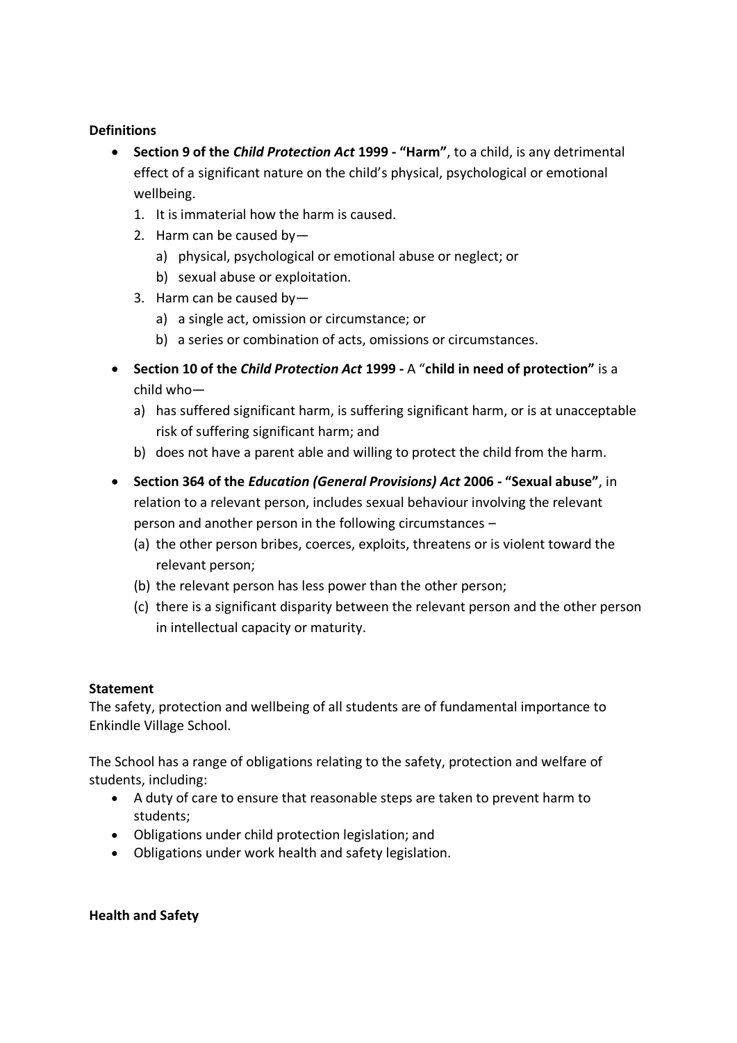#### **Definitions**

- **Section 9 of the** *Child Protection Act* **1999 - "Harm"**, to a child, is any detrimental effect of a significant nature on the child's physical, psychological or emotional wellbeing.
	- 1. It is immaterial how the harm is caused.
	- 2. Harm can be caused by
		- a) physical, psychological or emotional abuse or neglect; or
		- b) sexual abuse or exploitation.
	- 3. Harm can be caused by
		- a) a single act, omission or circumstance; or
		- b) a series or combination of acts, omissions or circumstances.
- **Section 10 of the** *Child Protection Act* **1999 -** A "**child in need of protection"** is a child who
	- a) has suffered significant harm, is suffering significant harm, or is at unacceptable risk of suffering significant harm; and
	- b) does not have a parent able and willing to protect the child from the harm.
- **Section 364 of the** *Education (General Provisions) Act* **2006 - "Sexual abuse"**, in relation to a relevant person, includes sexual behaviour involving the relevant person and another person in the following circumstances –
	- (a) the other person bribes, coerces, exploits, threatens or is violent toward the relevant person;
	- (b) the relevant person has less power than the other person;
	- (c) there is a significant disparity between the relevant person and the other person in intellectual capacity or maturity.

#### **Statement**

The safety, protection and wellbeing of all students are of fundamental importance to Enkindle Village School.

The School has a range of obligations relating to the safety, protection and welfare of students, including:

- A duty of care to ensure that reasonable steps are taken to prevent harm to students;
- Obligations under child protection legislation; and
- Obligations under work health and safety legislation.

## **Health and Safety**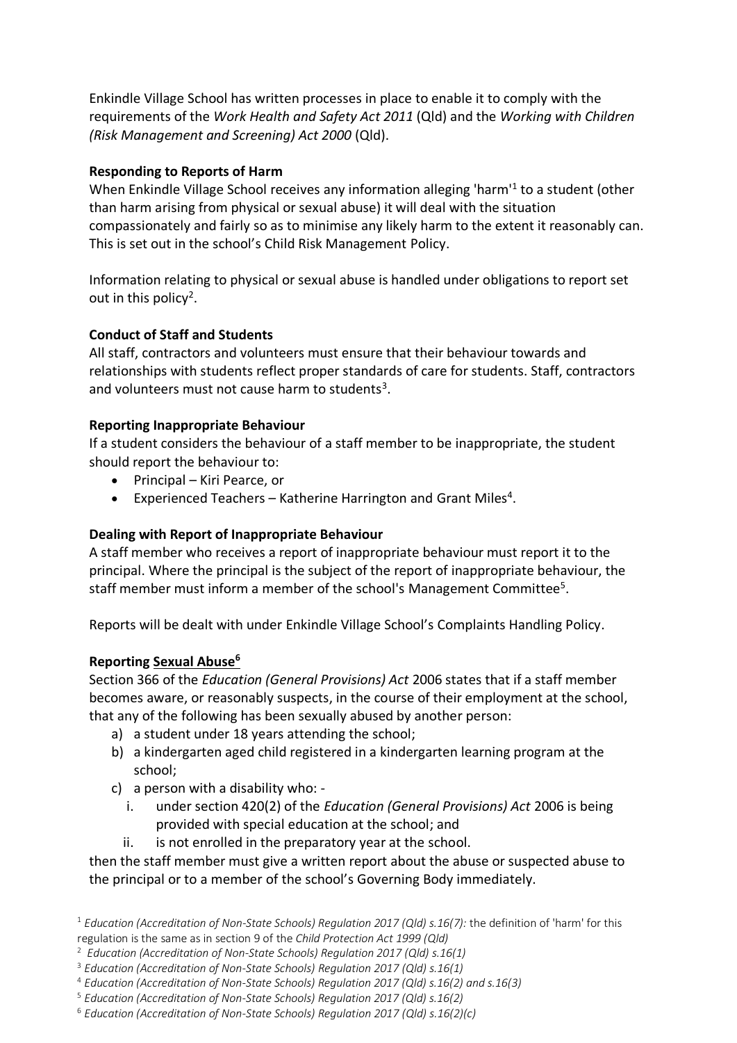Enkindle Village School has written processes in place to enable it to comply with the requirements of the *Work Health and Safety Act 2011* (Qld) and the *Working with Children (Risk Management and Screening) Act 2000* (Qld).

## **Responding to Reports of Harm**

When Enkindle Village School receives any information alleging 'harm'<sup>1</sup> to a student (other than harm arising from physical or sexual abuse) it will deal with the situation compassionately and fairly so as to minimise any likely harm to the extent it reasonably can. This is set out in the school's Child Risk Management Policy.

Information relating to physical or sexual abuse is handled under obligations to report set out in this policy<sup>2</sup>.

## **Conduct of Staff and Students**

All staff, contractors and volunteers must ensure that their behaviour towards and relationships with students reflect proper standards of care for students. Staff, contractors and volunteers must not cause harm to students<sup>3</sup>.

## **Reporting Inappropriate Behaviour**

If a student considers the behaviour of a staff member to be inappropriate, the student should report the behaviour to:

- Principal Kiri Pearce, or
- **•** Experienced Teachers Katherine Harrington and Grant Miles<sup>4</sup>.

## **Dealing with Report of Inappropriate Behaviour**

A staff member who receives a report of inappropriate behaviour must report it to the principal. Where the principal is the subject of the report of inappropriate behaviour, the staff member must inform a member of the school's Management Committee<sup>5</sup>.

Reports will be dealt with under Enkindle Village School's Complaints Handling Policy.

## **Reporting Sexual Abuse<sup>6</sup>**

Section 366 of the *Education (General Provisions) Act* 2006 states that if a staff member becomes aware, or reasonably suspects, in the course of their employment at the school, that any of the following has been sexually abused by another person:

- a) a student under 18 years attending the school;
- b) a kindergarten aged child registered in a kindergarten learning program at the school;
- c) a person with a disability who:
	- i. under section 420(2) of the *Education (General Provisions) Act* 2006 is being provided with special education at the school; and
	- ii. is not enrolled in the preparatory year at the school.

then the staff member must give a written report about the abuse or suspected abuse to the principal or to a member of the school's Governing Body immediately.

<sup>1</sup> *Education (Accreditation of Non-State Schools) Regulation 2017 (Qld) s.16(7):* the definition of 'harm' for this regulation is the same as in section 9 of the *Child Protection Act 1999 (Qld)*

<sup>2</sup> *Education (Accreditation of Non-State Schools) Regulation 2017 (Qld) s.16(1)*

<sup>3</sup> *Education (Accreditation of Non-State Schools) Regulation 2017 (Qld) s.16(1)*

<sup>4</sup> *Education (Accreditation of Non-State Schools) Regulation 2017 (Qld) s.16(2) and s.16(3)*

<sup>5</sup> *Education (Accreditation of Non-State Schools) Regulation 2017 (Qld) s.16(2)*

<sup>6</sup> *Education (Accreditation of Non-State Schools) Regulation 2017 (Qld) s.16(2)(c)*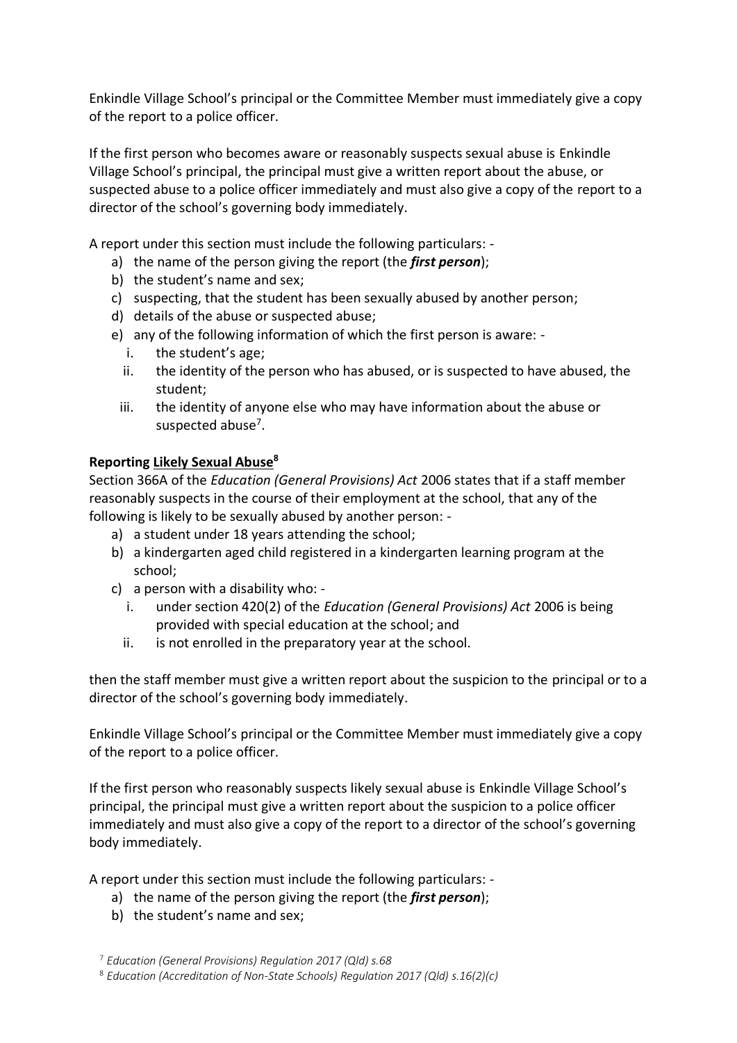Enkindle Village School's principal or the Committee Member must immediately give a copy of the report to a police officer.

If the first person who becomes aware or reasonably suspects sexual abuse is Enkindle Village School's principal, the principal must give a written report about the abuse, or suspected abuse to a police officer immediately and must also give a copy of the report to a director of the school's governing body immediately.

A report under this section must include the following particulars: -

- a) the name of the person giving the report (the *first person*);
- b) the student's name and sex;
- c) suspecting, that the student has been sexually abused by another person;
- d) details of the abuse or suspected abuse;
- e) any of the following information of which the first person is aware:
	- i. the student's age;
	- ii. the identity of the person who has abused, or is suspected to have abused, the student;
	- iii. the identity of anyone else who may have information about the abuse or suspected abuse<sup>7</sup>.

## **Reporting Likely Sexual Abuse<sup>8</sup>**

Section 366A of the *Education (General Provisions) Act* 2006 states that if a staff member reasonably suspects in the course of their employment at the school, that any of the following is likely to be sexually abused by another person: -

- a) a student under 18 years attending the school;
- b) a kindergarten aged child registered in a kindergarten learning program at the school;
- c) a person with a disability who:
	- i. under section 420(2) of the *Education (General Provisions) Act* 2006 is being provided with special education at the school; and
	- ii. is not enrolled in the preparatory year at the school.

then the staff member must give a written report about the suspicion to the principal or to a director of the school's governing body immediately.

Enkindle Village School's principal or the Committee Member must immediately give a copy of the report to a police officer.

If the first person who reasonably suspects likely sexual abuse is Enkindle Village School's principal, the principal must give a written report about the suspicion to a police officer immediately and must also give a copy of the report to a director of the school's governing body immediately.

A report under this section must include the following particulars: -

- a) the name of the person giving the report (the *first person*);
- b) the student's name and sex;

<sup>7</sup> *Education (General Provisions) Regulation 2017 (Qld) s.68*

<sup>8</sup> *Education (Accreditation of Non-State Schools) Regulation 2017 (Qld) s.16(2)(c)*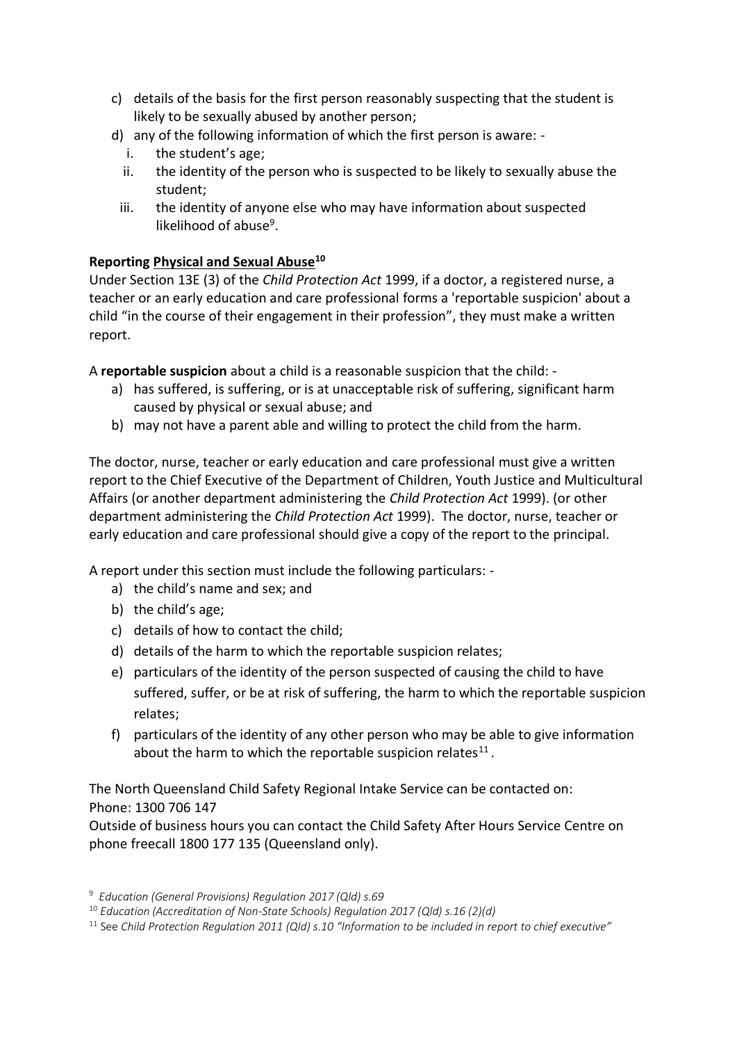- c) details of the basis for the first person reasonably suspecting that the student is likely to be sexually abused by another person;
- d) any of the following information of which the first person is aware:
	- i. the student's age;
	- ii. the identity of the person who is suspected to be likely to sexually abuse the student;
	- iii. the identity of anyone else who may have information about suspected likelihood of abuse<sup>9</sup>.

## **Reporting Physical and Sexual Abuse<sup>10</sup>**

Under Section 13E (3) of the *Child Protection Act* 1999, if a doctor, a registered nurse, a teacher or an early education and care professional forms a 'reportable suspicion' about a child "in the course of their engagement in their profession", they must make a written report.

A **reportable suspicion** about a child is a reasonable suspicion that the child: -

- a) has suffered, is suffering, or is at unacceptable risk of suffering, significant harm caused by physical or sexual abuse; and
- b) may not have a parent able and willing to protect the child from the harm.

The doctor, nurse, teacher or early education and care professional must give a written report to the Chief Executive of the Department of Children, Youth Justice and Multicultural Affairs (or another department administering the *Child Protection Act* 1999). (or other department administering the *Child Protection Act* 1999). The doctor, nurse, teacher or early education and care professional should give a copy of the report to the principal.

A report under this section must include the following particulars: -

- a) the child's name and sex; and
- b) the child's age;
- c) details of how to contact the child;
- d) details of the harm to which the reportable suspicion relates;
- e) particulars of the identity of the person suspected of causing the child to have suffered, suffer, or be at risk of suffering, the harm to which the reportable suspicion relates;
- f) particulars of the identity of any other person who may be able to give information about the harm to which the reportable suspicion relates $^{11}$ .

The North Queensland Child Safety Regional Intake Service can be contacted on: Phone: 1300 706 147

Outside of business hours you can contact the Child Safety After Hours Service Centre on phone freecall 1800 177 135 (Queensland only).

<sup>9</sup> *Education (General Provisions) Regulation 2017 (Qld) s.69*

<sup>10</sup> *Education (Accreditation of Non-State Schools) Regulation 2017 (Qld) s.16 (2)(d)*

<sup>11</sup> See *Child Protection Regulation 2011 (Qld) s.10 "Information to be included in report to chief executive"*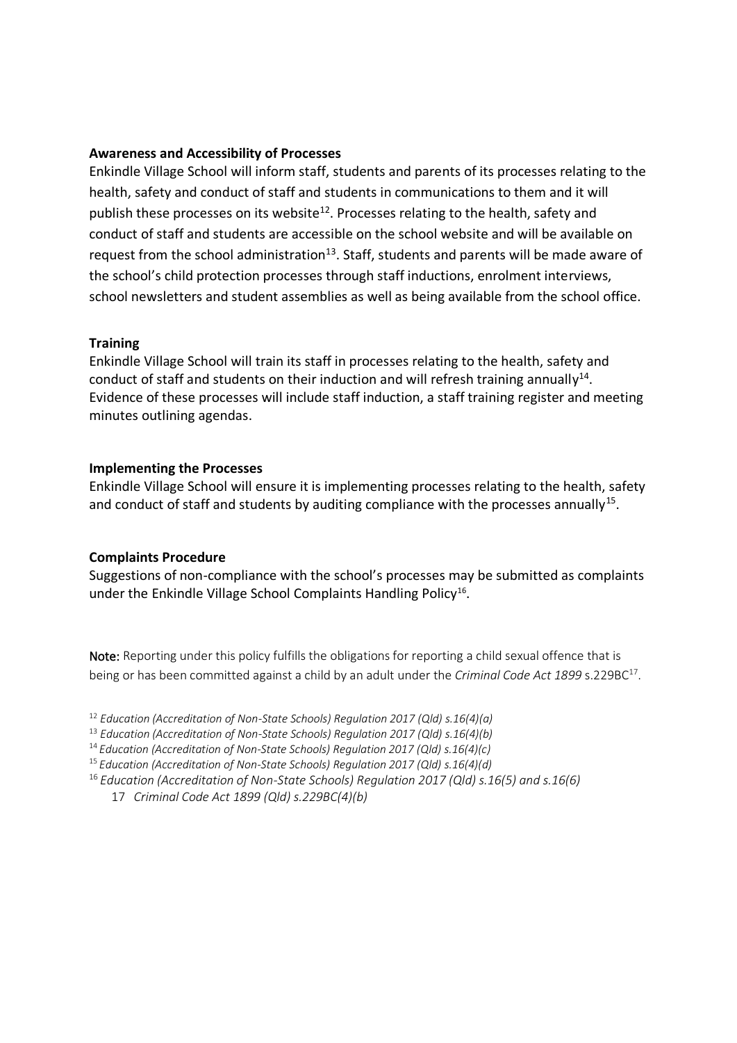#### **Awareness and Accessibility of Processes**

Enkindle Village School will inform staff, students and parents of its processes relating to the health, safety and conduct of staff and students in communications to them and it will publish these processes on its website<sup>12</sup>. Processes relating to the health, safety and conduct of staff and students are accessible on the school website and will be available on request from the school administration<sup>13</sup>. Staff, students and parents will be made aware of the school's child protection processes through staff inductions, enrolment interviews, school newsletters and student assemblies as well as being available from the school office.

#### **Training**

Enkindle Village School will train its staff in processes relating to the health, safety and conduct of staff and students on their induction and will refresh training annually<sup>14</sup>. Evidence of these processes will include staff induction, a staff training register and meeting minutes outlining agendas.

#### **Implementing the Processes**

Enkindle Village School will ensure it is implementing processes relating to the health, safety and conduct of staff and students by auditing compliance with the processes annually<sup>15</sup>.

#### **Complaints Procedure**

Suggestions of non-compliance with the school's processes may be submitted as complaints under the Enkindle Village School Complaints Handling Policy<sup>16</sup>.

Note: Reporting under this policy fulfills the obligations for reporting a child sexual offence that is being or has been committed against a child by an adult under the Criminal Code Act 1899 s.229BC<sup>17</sup>.

<sup>12</sup> *Education (Accreditation of Non-State Schools) Regulation 2017 (Qld) s.16(4)(a)*

<sup>13</sup> *Education (Accreditation of Non-State Schools) Regulation 2017 (Qld) s.16(4)(b)*

<sup>14</sup>*Education (Accreditation of Non-State Schools) Regulation 2017 (Qld) s.16(4)(c)*

<sup>15</sup>*Education (Accreditation of Non-State Schools) Regulation 2017 (Qld) s.16(4)(d)*

<sup>16</sup>*Education (Accreditation of Non-State Schools) Regulation 2017 (Qld) s.16(5) and s.16(6)*

17 *Criminal Code Act 1899 (Qld) s.229BC(4)(b)*